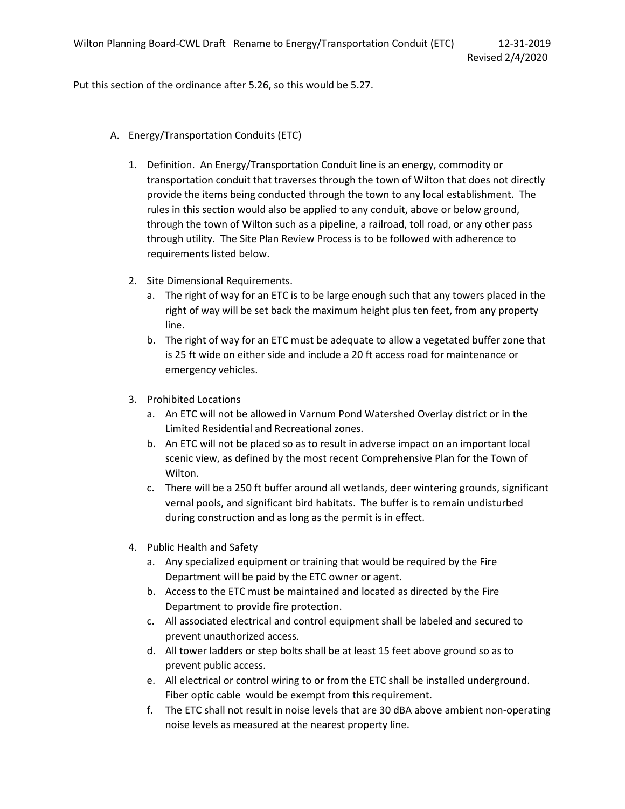Put this section of the ordinance after 5.26, so this would be 5.27.

- A. Energy/Transportation Conduits (ETC)
	- 1. Definition. An Energy/Transportation Conduit line is an energy, commodity or transportation conduit that traverses through the town of Wilton that does not directly provide the items being conducted through the town to any local establishment. The rules in this section would also be applied to any conduit, above or below ground, through the town of Wilton such as a pipeline, a railroad, toll road, or any other pass through utility. The Site Plan Review Process is to be followed with adherence to requirements listed below.
	- 2. Site Dimensional Requirements.
		- a. The right of way for an ETC is to be large enough such that any towers placed in the right of way will be set back the maximum height plus ten feet, from any property line.
		- b. The right of way for an ETC must be adequate to allow a vegetated buffer zone that is 25 ft wide on either side and include a 20 ft access road for maintenance or emergency vehicles.
	- 3. Prohibited Locations
		- a. An ETC will not be allowed in Varnum Pond Watershed Overlay district or in the Limited Residential and Recreational zones.
		- b. An ETC will not be placed so as to result in adverse impact on an important local scenic view, as defined by the most recent Comprehensive Plan for the Town of Wilton.
		- c. There will be a 250 ft buffer around all wetlands, deer wintering grounds, significant vernal pools, and significant bird habitats. The buffer is to remain undisturbed during construction and as long as the permit is in effect.
	- 4. Public Health and Safety
		- a. Any specialized equipment or training that would be required by the Fire Department will be paid by the ETC owner or agent.
		- b. Access to the ETC must be maintained and located as directed by the Fire Department to provide fire protection.
		- c. All associated electrical and control equipment shall be labeled and secured to prevent unauthorized access.
		- d. All tower ladders or step bolts shall be at least 15 feet above ground so as to prevent public access.
		- e. All electrical or control wiring to or from the ETC shall be installed underground. Fiber optic cable would be exempt from this requirement.
		- f. The ETC shall not result in noise levels that are 30 dBA above ambient non-operating noise levels as measured at the nearest property line.